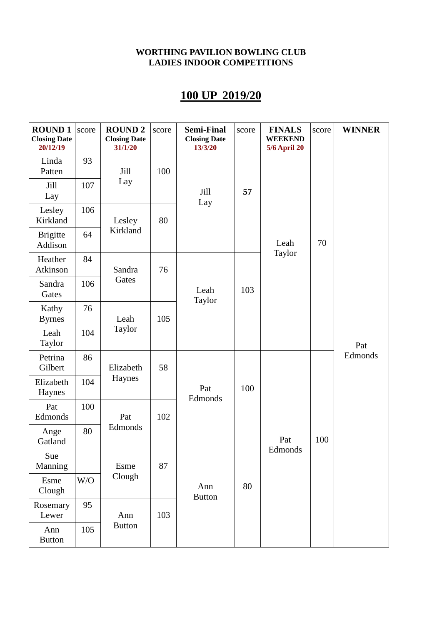## **100 UP 2019/20**

| <b>ROUND1</b><br><b>Closing Date</b><br>20/12/19 | score | <b>ROUND 2</b><br><b>Closing Date</b><br>31/1/20 | score | <b>Semi-Final</b><br><b>Closing Date</b><br>13/3/20 | score | <b>FINALS</b><br><b>WEEKEND</b><br><b>5/6 April 20</b> | score | <b>WINNER</b>  |
|--------------------------------------------------|-------|--------------------------------------------------|-------|-----------------------------------------------------|-------|--------------------------------------------------------|-------|----------------|
| Linda<br>Patten                                  | 93    | Jill<br>Lay<br>Lesley                            | 100   | Jill<br>Lay                                         | 57    | Leah<br>Taylor                                         | 70    | Pat<br>Edmonds |
| Jill<br>Lay                                      | 107   |                                                  |       |                                                     |       |                                                        |       |                |
| Lesley<br>Kirkland                               | 106   |                                                  | 80    |                                                     |       |                                                        |       |                |
| <b>Brigitte</b><br>Addison                       | 64    | Kirkland                                         |       |                                                     |       |                                                        |       |                |
| Heather<br>Atkinson                              | 84    | Sandra                                           | 76    |                                                     |       |                                                        |       |                |
| Sandra<br>Gates                                  | 106   | Gates                                            |       | Leah<br>Taylor                                      | 103   |                                                        |       |                |
| Kathy<br><b>Byrnes</b>                           | 76    | Leah<br>Taylor                                   | 105   |                                                     |       |                                                        |       |                |
| Leah<br>Taylor                                   | 104   |                                                  |       |                                                     |       |                                                        |       |                |
| Petrina<br>Gilbert                               | 86    | Elizabeth                                        | 58    | Pat<br>Edmonds                                      |       |                                                        |       |                |
| Elizabeth<br>Haynes                              | 104   | Haynes                                           |       |                                                     | 100   |                                                        |       |                |
| Pat<br>Edmonds                                   | 100   | Pat                                              | 102   |                                                     |       |                                                        |       |                |
| Ange<br>Gatland                                  | 80    | Edmonds                                          |       |                                                     |       | Pat                                                    | 100   |                |
| Sue<br>Manning                                   |       | Esme<br>Clough                                   | 87    | Ann<br><b>Button</b>                                |       | Edmonds                                                |       |                |
| Esme<br>Clough                                   | W/O   |                                                  |       |                                                     | 80    |                                                        |       |                |
| Rosemary<br>Lewer                                | 95    | Ann                                              | 103   |                                                     |       |                                                        |       |                |
| Ann<br><b>Button</b>                             | 105   | <b>Button</b>                                    |       |                                                     |       |                                                        |       |                |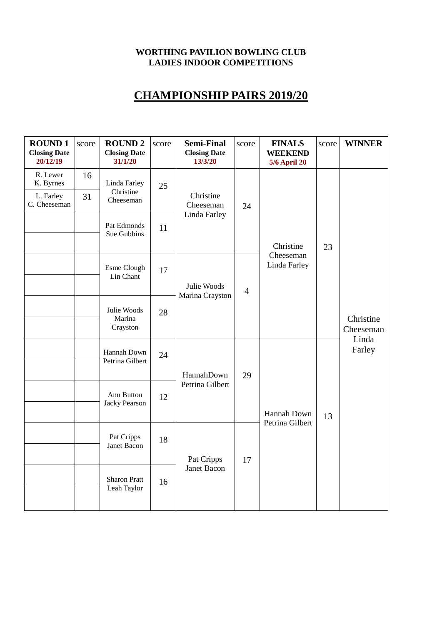### **CHAMPIONSHIP PAIRS 2019/20**

| <b>ROUND1</b><br><b>Closing Date</b><br>20/12/19   | score    | <b>ROUND 2</b><br><b>Closing Date</b><br>31/1/20                     | score | <b>Semi-Final</b><br><b>Closing Date</b><br>13/3/20 | score          | <b>FINALS</b><br><b>WEEKEND</b><br><b>5/6 April 20</b> | score | <b>WINNER</b>                             |  |
|----------------------------------------------------|----------|----------------------------------------------------------------------|-------|-----------------------------------------------------|----------------|--------------------------------------------------------|-------|-------------------------------------------|--|
| R. Lewer<br>K. Byrnes<br>L. Farley<br>C. Cheeseman | 16<br>31 | Linda Farley<br>Christine<br>Cheeseman<br>Pat Edmonds<br>Sue Gubbins | 25    | Christine<br>Cheeseman                              | 24             |                                                        | 23    |                                           |  |
|                                                    |          |                                                                      | 11    | Linda Farley                                        |                | Christine                                              |       |                                           |  |
|                                                    |          | Esme Clough<br>Lin Chant                                             | 17    | Julie Woods<br>Marina Crayston                      | $\overline{4}$ | Cheeseman<br>Linda Farley                              |       |                                           |  |
|                                                    |          | Julie Woods<br>Marina<br>Crayston                                    | 28    |                                                     |                |                                                        |       | Christine<br>Cheeseman<br>Linda<br>Farley |  |
|                                                    |          | Hannah Down<br>Petrina Gilbert<br>Ann Button<br><b>Jacky Pearson</b> | 24    | HannahDown                                          | 29<br>17       |                                                        |       |                                           |  |
|                                                    |          |                                                                      | 12    | Petrina Gilbert                                     |                | Hannah Down<br>Petrina Gilbert                         | 13    |                                           |  |
|                                                    |          | Pat Cripps<br>Janet Bacon                                            | 18    | Pat Cripps                                          |                |                                                        |       |                                           |  |
|                                                    |          | <b>Sharon Pratt</b><br>Leah Taylor                                   | 16    | <b>Janet Bacon</b>                                  |                |                                                        |       |                                           |  |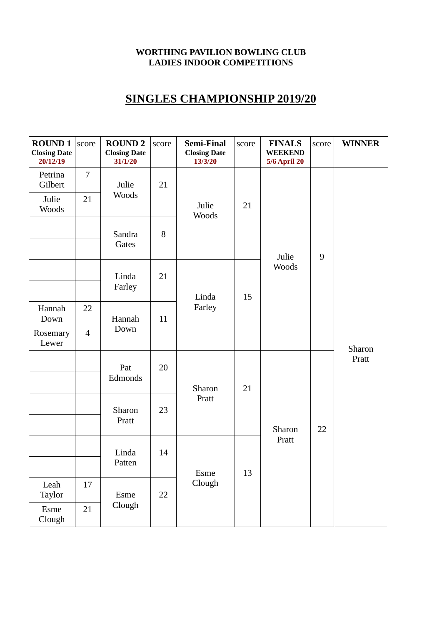## **SINGLES CHAMPIONSHIP 2019/20**

| <b>ROUND1</b><br><b>Closing Date</b><br>20/12/19 | score          | <b>ROUND 2</b><br><b>Closing Date</b><br>31/1/20 | score | <b>Semi-Final</b><br><b>Closing Date</b><br>13/3/20 | score | <b>FINALS</b><br><b>WEEKEND</b><br><b>5/6 April 20</b> | score | <b>WINNER</b>   |
|--------------------------------------------------|----------------|--------------------------------------------------|-------|-----------------------------------------------------|-------|--------------------------------------------------------|-------|-----------------|
| Petrina<br>Gilbert                               | $\overline{7}$ | Julie<br>Woods<br>Sandra<br>Gates                | 21    | Julie<br>Woods                                      | 21    | Julie<br>Woods                                         | 9     | Sharon<br>Pratt |
| Julie<br>Woods                                   | 21             |                                                  |       |                                                     |       |                                                        |       |                 |
|                                                  |                |                                                  | 8     |                                                     |       |                                                        |       |                 |
|                                                  |                | Linda<br>Farley                                  | 21    | Linda                                               | 15    |                                                        |       |                 |
| Hannah<br>Down                                   | 22             | Hannah<br>Down                                   | 11    | Farley<br>Sharon<br>Pratt                           | 21    |                                                        |       |                 |
| Rosemary<br>Lewer                                | $\overline{4}$ |                                                  |       |                                                     |       |                                                        |       |                 |
|                                                  |                | Pat<br>Edmonds<br>Sharon<br>Pratt                | 20    |                                                     |       | Sharon<br>Pratt                                        | 22    |                 |
|                                                  |                |                                                  | 23    |                                                     |       |                                                        |       |                 |
|                                                  |                | Linda<br>Patten                                  | 14    |                                                     | 13    |                                                        |       |                 |
|                                                  |                |                                                  |       | Esme<br>Clough                                      |       |                                                        |       |                 |
| Leah<br>Taylor                                   | 17             | Esme<br>Clough                                   | 22    |                                                     |       |                                                        |       |                 |
| Esme<br>Clough                                   | 21             |                                                  |       |                                                     |       |                                                        |       |                 |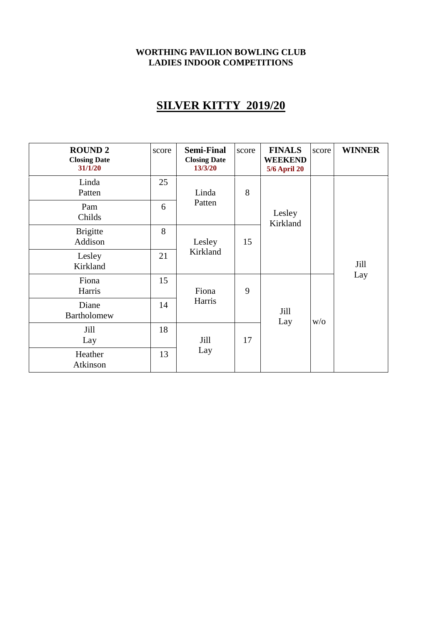# **SILVER KITTY 2019/20**

| <b>ROUND 2</b><br><b>Closing Date</b><br>31/1/20 | score | <b>Semi-Final</b><br><b>Closing Date</b><br>13/3/20 | score   | <b>FINALS</b><br><b>WEEKEND</b><br><b>5/6 April 20</b> | score | <b>WINNER</b> |  |
|--------------------------------------------------|-------|-----------------------------------------------------|---------|--------------------------------------------------------|-------|---------------|--|
| Linda<br>Patten                                  | 25    | Linda                                               | 8       | Lesley<br>Kirkland                                     |       |               |  |
| Pam<br>Childs                                    | 6     | Patten                                              |         |                                                        |       | Jill<br>Lay   |  |
| <b>Brigitte</b><br>Addison                       | 8     | Lesley                                              | 15<br>9 |                                                        |       |               |  |
| Lesley<br>Kirkland                               | 21    | Kirkland                                            |         |                                                        |       |               |  |
| Fiona<br>Harris                                  | 15    | Fiona<br>Harris                                     |         | Jill<br>Lay                                            | W/O   |               |  |
| Diane<br>Bartholomew                             | 14    |                                                     |         |                                                        |       |               |  |
| Jill<br>Lay                                      | 18    | Jill                                                | 17      |                                                        |       |               |  |
| Heather<br>Atkinson                              | 13    | Lay                                                 |         |                                                        |       |               |  |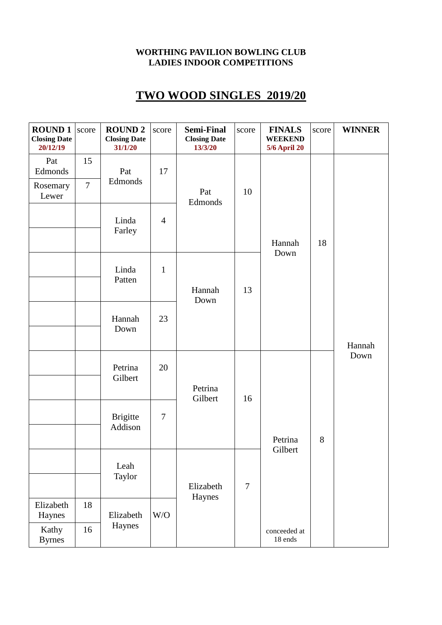## **TWO WOOD SINGLES 2019/20**

| <b>ROUND1</b><br><b>Closing Date</b><br>20/12/19 | score                | <b>ROUND 2</b><br><b>Closing Date</b><br>31/1/20 | score          | <b>Semi-Final</b><br><b>Closing Date</b><br>13/3/20 | score          | <b>FINALS</b><br><b>WEEKEND</b><br><b>5/6 April 20</b> | score | <b>WINNER</b>  |
|--------------------------------------------------|----------------------|--------------------------------------------------|----------------|-----------------------------------------------------|----------------|--------------------------------------------------------|-------|----------------|
| Pat<br>Edmonds<br>Rosemary<br>Lewer              | 15<br>$\overline{7}$ | Pat<br>Edmonds<br>Linda<br>Farley                | 17             | Pat                                                 | 10             | Hannah<br>Down                                         | 18    | Hannah<br>Down |
|                                                  |                      |                                                  | $\overline{4}$ | Edmonds                                             |                |                                                        |       |                |
|                                                  |                      | Linda<br>Patten                                  | $\mathbf{1}$   | Hannah<br>Down                                      | 13             |                                                        |       |                |
|                                                  |                      | Hannah<br>Down                                   | 23             |                                                     |                |                                                        |       |                |
|                                                  |                      | Petrina<br>Gilbert<br><b>Brigitte</b><br>Addison | 20             | Petrina<br>Gilbert                                  | 16             |                                                        |       |                |
|                                                  |                      |                                                  | $\tau$         |                                                     |                | Petrina                                                | 8     |                |
|                                                  |                      | Leah<br>Taylor                                   |                | Elizabeth<br>Haynes                                 | $\overline{7}$ | Gilbert                                                |       |                |
|                                                  |                      |                                                  |                |                                                     |                |                                                        |       |                |
| Elizabeth<br>Haynes                              | 18                   | Elizabeth                                        | W/O            |                                                     |                |                                                        |       |                |
| Kathy<br><b>Byrnes</b>                           | 16                   | Haynes                                           |                |                                                     |                | conceeded at<br>18 ends                                |       |                |